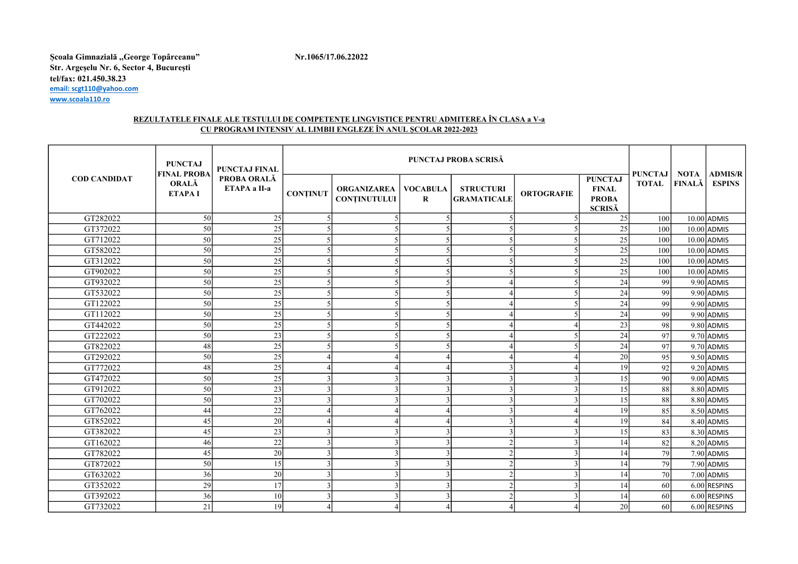Școala Gimnazială ,,George Topârceanu" Nr.1065/17.06.22022 Str. Argeșelu Nr. 6, Sector 4, București tel/fax: 021.450.38.23 email: scgt110@yahoo.com www.scoala110.ro

## REZULTATELE FINALE ALE TESTULUI DE COMPETENȚE LINGVISTICE PENTRU ADMITEREA ÎN CLASA a V-a CU PROGRAM INTENSIV AL LIMBII ENGLEZE ÎN ANUL ȘCOLAR 2022-2023

| <b>COD CANDIDAT</b> | <b>PUNCTAJ</b><br><b>FINAL PROBA</b><br><b>ORALĂ</b><br><b>ETAPAI</b> | <b>PUNCTAJ FINAL</b><br>PROBA ORALĂ<br>ETAPA a II-a | PUNCTAJ PROBA SCRISĂ     |                                           |                             |                                        |                          |                                                                 | PUNCTAJ      | <b>NOTA</b>   | <b>ADMIS/R</b> |
|---------------------|-----------------------------------------------------------------------|-----------------------------------------------------|--------------------------|-------------------------------------------|-----------------------------|----------------------------------------|--------------------------|-----------------------------------------------------------------|--------------|---------------|----------------|
|                     |                                                                       |                                                     | <b>CONTINUT</b>          | <b>ORGANIZAREA</b><br><b>CONTINUTULUI</b> | <b>VOCABULA</b><br>$\bf{R}$ | <b>STRUCTURI</b><br><b>GRAMATICALE</b> | <b>ORTOGRAFIE</b>        | <b>PUNCTAJ</b><br><b>FINAL</b><br><b>PROBA</b><br><b>SCRISĂ</b> | <b>TOTAL</b> | <b>FINALĂ</b> | <b>ESPINS</b>  |
| GT282022            | 50                                                                    | 25                                                  |                          |                                           |                             |                                        | $\overline{\phantom{0}}$ | 25                                                              | 100          |               | 10.00 ADMIS    |
| GT372022            | 50                                                                    | 25                                                  |                          |                                           |                             | .5                                     | 5                        | 25                                                              | 100          |               | 10.00 ADMIS    |
| GT712022            | .50                                                                   | 25                                                  | $\overline{\phantom{0}}$ |                                           |                             | 5                                      | 5                        | 25                                                              | 100          |               | 10.00 ADMIS    |
| GT582022            | 50                                                                    | 25                                                  |                          |                                           |                             |                                        | $\overline{\phantom{0}}$ | 25                                                              | 100          |               | 10.00 ADMIS    |
| GT312022            | 50                                                                    | 25                                                  |                          |                                           |                             |                                        | 5                        | 25                                                              | 100          |               | 10.00 ADMIS    |
| GT902022            | 50                                                                    | 25                                                  |                          |                                           |                             |                                        | 5                        | 25                                                              | 100          |               | 10.00 ADMIS    |
| GT932022            | 50                                                                    | 25                                                  |                          |                                           |                             |                                        |                          | 24                                                              | 99           |               | 9.90 ADMIS     |
| GT532022            | 50                                                                    | $\overline{25}$                                     |                          |                                           |                             |                                        | 5                        | 24                                                              | 99           |               | 9.90 ADMIS     |
| GT122022            | 50                                                                    | 25                                                  |                          |                                           |                             |                                        | $\overline{\phantom{0}}$ | 24                                                              | 99           |               | 9.90 ADMIS     |
| GT112022            | 50                                                                    | 25                                                  |                          |                                           |                             |                                        |                          | 24                                                              | 99           |               | 9.90 ADMIS     |
| GT442022            | 50                                                                    | 25                                                  |                          |                                           |                             |                                        |                          | 23                                                              | 98           |               | 9.80 ADMIS     |
| GT222022            | 50                                                                    | 23                                                  | $\varsigma$              |                                           |                             |                                        | $\sim$                   | 24                                                              | 97           |               | 9.70 ADMIS     |
| GT822022            | 48                                                                    | 25                                                  |                          |                                           |                             |                                        |                          | 24                                                              | 97           |               | 9.70 ADMIS     |
| GT292022            | 50                                                                    | 25                                                  |                          |                                           |                             |                                        |                          | 20                                                              | 95           |               | 9.50 ADMIS     |
| GT772022            | 48                                                                    | 25                                                  |                          |                                           |                             | $\mathbf{3}$                           |                          | 19                                                              | 92           |               | 9.20 ADMIS     |
| GT472022            | 50                                                                    | 25                                                  |                          |                                           |                             | 3                                      |                          | 15                                                              | 90           |               | 9.00 ADMIS     |
| GT912022            | 50                                                                    | 23                                                  | $\mathbf{3}$             |                                           |                             | $\mathbf{3}$                           | 3                        | 15                                                              | 88           |               | 8.80 ADMIS     |
| GT702022            | 50                                                                    | 23                                                  | 3                        |                                           |                             | $\mathcal{R}$                          | 3                        | 15                                                              | 88           |               | 8.80 ADMIS     |
| GT762022            | 44                                                                    | 22                                                  |                          |                                           |                             | 3                                      |                          | 19                                                              | 85           |               | 8.50 ADMIS     |
| GT852022            | 45                                                                    | 20                                                  |                          |                                           |                             | $\mathcal{R}$                          |                          | 19                                                              | 84           |               | 8.40 ADMIS     |
| GT382022            | 45                                                                    | 23                                                  | 3                        |                                           |                             | 3                                      | 3                        | 15                                                              | 83           |               | 8.30 ADMIS     |
| GT162022            | 46                                                                    | 22                                                  |                          |                                           |                             |                                        | 3                        | 14                                                              | 82           |               | 8.20 ADMIS     |
| GT782022            | 45                                                                    | 20                                                  | $\mathbf{3}$             |                                           |                             |                                        | $\mathbf{3}$             | 14                                                              | 79           |               | 7.90 ADMIS     |
| GT872022            | 50 <sup>1</sup>                                                       | 15                                                  | 3                        |                                           |                             |                                        | 3                        | 14                                                              | 79           |               | 7.90 ADMIS     |
| GT632022            | 36                                                                    | 20                                                  | $\mathbf{3}$             |                                           |                             |                                        | 3                        | 14                                                              | <b>70</b>    |               | 7.00 ADMIS     |
| GT352022            | 29                                                                    | 17                                                  |                          |                                           |                             |                                        | $\mathbf{3}$             | 14                                                              | 60           |               | 6.00 RESPINS   |
| GT392022            | 36                                                                    | 10                                                  | $\mathbf{3}$             |                                           |                             | 2                                      | 3                        | 14                                                              | 60           |               | 6.00 RESPINS   |
| GT732022            | 21                                                                    | 19                                                  |                          |                                           |                             |                                        |                          | 20                                                              | 60           |               | 6.00 RESPINS   |